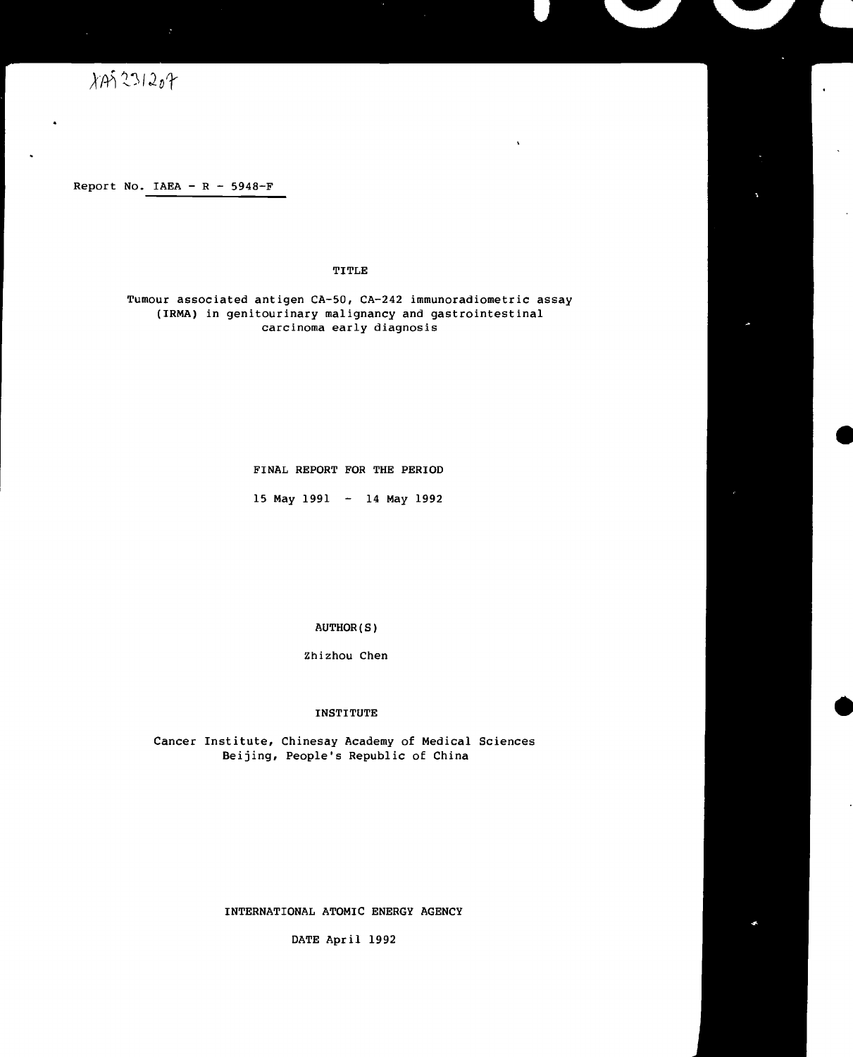# $\chi$ An 231207

Report No. IAEA -  $R - 5948-F$ 

## TITLE

ł,

Tumour associated antigen CA-50, CA-242 immunoradiometric assay (IRMA) in genitourinary malignancy and gastrointestinal carcinoma early diagnosis

FINAL REPORT FOR THE PERIOD

15 May 1991 - 14 May 1992

AUTHOR(S)

Zhizhou Chen

#### INSTITUTE

Cancer Institute, Chinesay Academy of Medical Sciences Beijing, People's Republic of China

## INTERNATIONAL ATOMIC ENERGY AGENCY

DATE April 1992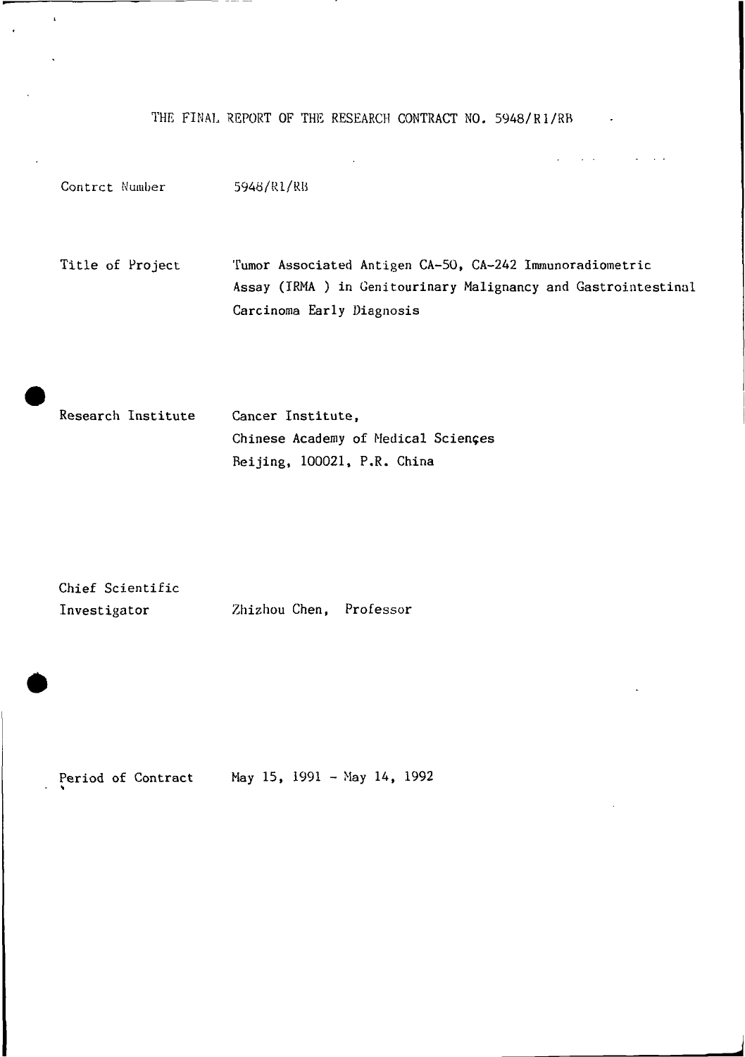THE FINAL REPORT OF THE RESEARCH CONTRACT NO. 5948/R1/RB

Contrct Number 5948/R1/RB Title of Project Tumor Associated Antigen CA-50, CA-242 Immunoradiometric Assay (IRMA ) in Genitourinary Malignancy and Gastrointestinal Carcinoma Early Diagnosis

Research Institute Cancer Institute, Chinese Academy of Medical Sciences Beijing, 100021, P.R. China

Chief Scientific Investigator Zhizhou Chen, Professor

 $\mathbf{r}$ 

Period of Contract May 15, 1991 - May 14, 1992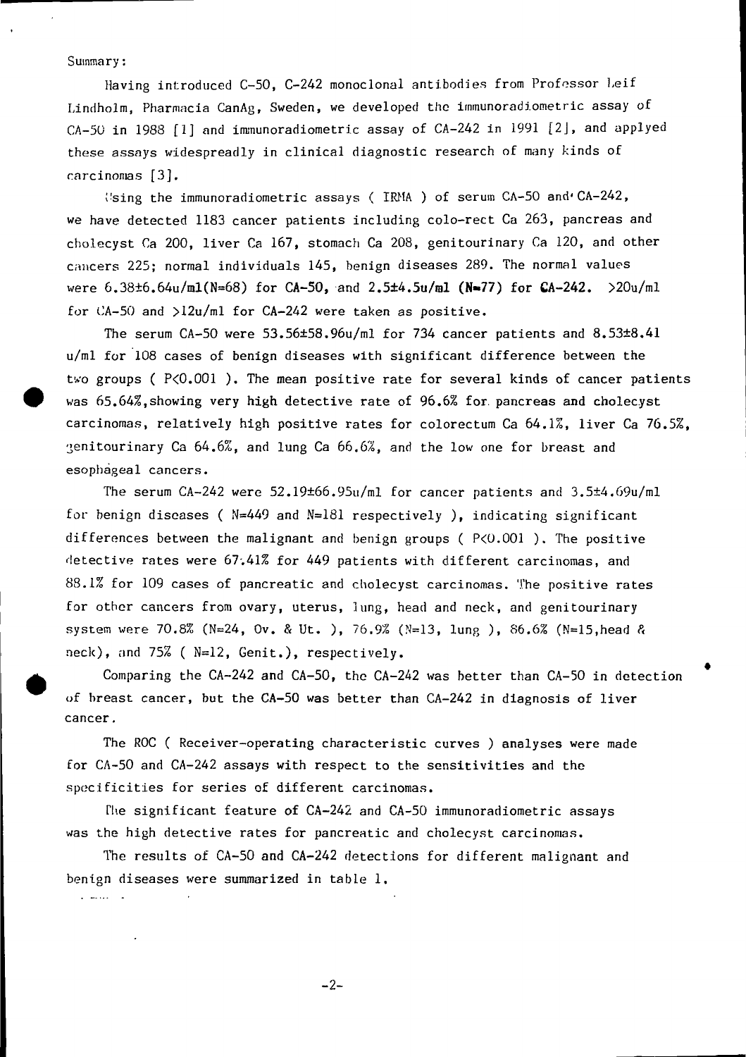### Summary:

Having introduced C-50, C-242 monoclonal antibodies from Professor Leif Lindholm, Pharmacia CanAg, Sweden, we developed the immunoradiometric assay of CA-50 in 1988 [1] and immunoradiometric assay of CA-242 in 1991 [2], and applyed these assays widespreadly in clinical diagnostic research of many kinds of carcinomas [3].

 $\frac{1}{2}$  ising the immunoradiometric assays ( IRMA ) of serum CA-50 and CA-242, we have detected 1183 cancer patients including colo-rect Ca 263, pancreas and cholecyst Ca 200, liver Ca 167, stomach Ca 208, genitourinary Ca 120, and other cancers 225; normal individuals 145, benign diseases 289. The normal values were 6.38±6.64u/ml(N=68) for CA-50, and 2.5±4.5u/ml (N=77) for CA-242.  $>20u/ml$ for CA-50 and >12u/ml for CA-242 were taken as positive.

The serum CA-50 were 53.56±58.96u/ml for 734 cancer patients and 8.53±8.41 u/ml for 108 cases of benign diseases with significant difference between the two groups ( $P < 0.001$ ). The mean positive rate for several kinds of cancer patients was 65.64%, showing very high detective rate of 96.6% for pancreas and cholecyst carcinomas, relatively high positive rates for colorectum Ca 64.1%, liver Ca 76.5%,  $\gamma$ enitourinary Ca 64.6%, and lung Ca 66.6%, and the low one for breast and esophageal cancers.

The serum CA-242 were 52.19±66.95u/ml for cancer patients and 3.5±4.69u/ml for benign diseases ( N=449 and N=181 respectively ), indicating significant differences between the malignant and benign groups ( $P<0.001$ ). The positive detective rates were 67.41% for 449 patients with different carcinomas, and 88.1% for 109 cases of pancreatic and cholecyst carcinomas. The positive rates for other cancers from ovary, uterus, lung, head and neck, and genitourinary system were 70.8% (N=24, Ov. & Ut. ), 76.9% (N=13, lung ), 86.6% (N=15, head & neck), nnd 75% ( N=12, Genit.), respectively.

Comparing the CA-242 and CA-50, the CA-242 was better than CA-50 in detection of breast cancer, but the CA-50 was better than CA-242 in diagnosis of liver cancer.

The ROC ( Receiver-operating characteristic curves ) analyses were made for CA-50 and CA-242 assays with respect to the sensitivities and the specificities for series of different carcinomas.

The significant feature of CA-242 and CA-50 immunoradiometric assays was the high detective rates for pancreatic and cholecyst carcinomas.

The results of CA-50 and CA-242 detections for different malignant and benign diseases were summarized in table 1. لكان المتحدثين

-2-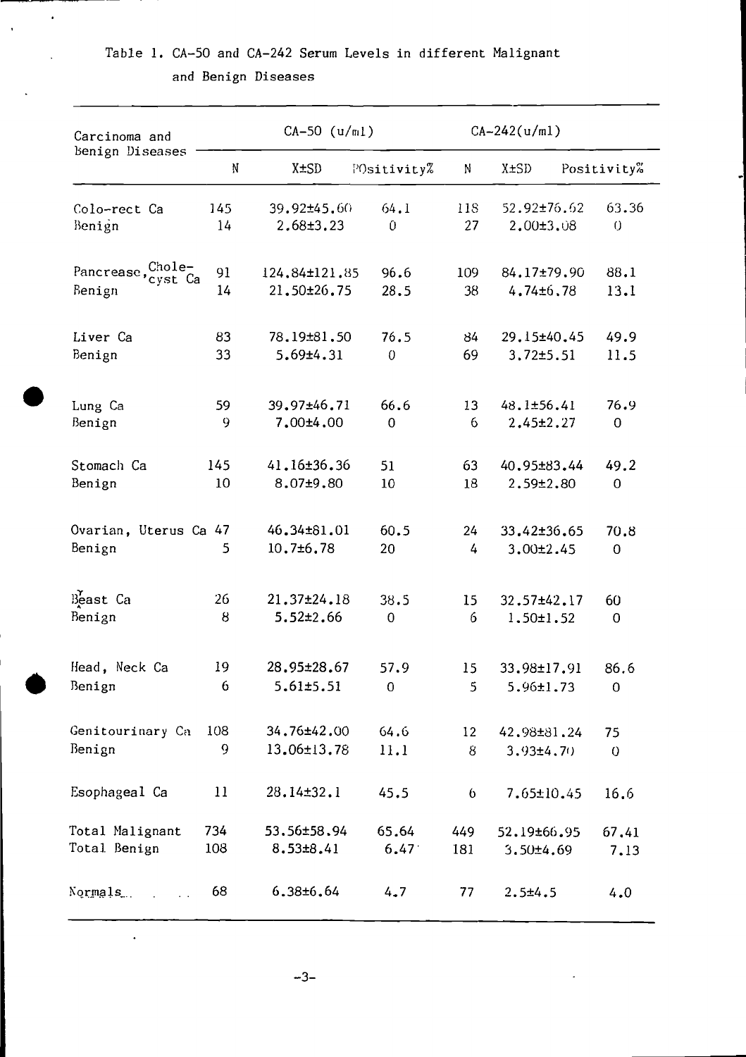|  |  |                     |  | Table 1. CA-50 and CA-242 Serum Levels in different Malignant |  |
|--|--|---------------------|--|---------------------------------------------------------------|--|
|  |  | and Benign Diseases |  |                                                               |  |

 $\ddot{\phantom{0}}$ 

 $\ddot{\phantom{0}}$ 

| Carcinoma and                |           | $CA-50$ ( $u/m1$ )             |                |           | $CA-242(u/ml)$               |                   |
|------------------------------|-----------|--------------------------------|----------------|-----------|------------------------------|-------------------|
| Benign Diseases              | N         | X±SD                           | POsitivity%    | N         | X±SD                         | Positivity%       |
| Colo-rect Ca<br>Benign       | 145<br>14 | 39.92±45.60<br>$2.68 \pm 3.23$ | 64.1<br>0      | 118<br>27 | 52.92±76.62<br>$2,00\pm3,08$ | 63.36<br>$\theta$ |
| Pancrease, Chole-<br>cyst Ca | 91        | 124,84±121,85                  | 96.6           | 109       | 84.17±79.90                  | 88.1              |
| Benign                       | 14        | 21.50±26.75                    | 28.5           | 38        | 4.74±6.78                    | 13.1              |
| Liver Ca                     | 83        | 78.19±81.50                    | 76.5           | 84        | 29.15±40.45                  | 49.9              |
| Benign                       | 33        | 5.69±4.31                      | $\overline{0}$ | 69        | 3,72±5.51                    | 11.5              |
| Lung Ca                      | 59        | 39.97±46.71                    | 66.6           | 13        | 48.1±56.41                   | 76.9              |
| Benign                       | 9         | $7.00 + 4.00$                  | $\overline{0}$ | 6         | 2.45±2.27                    | 0                 |
| Stomach Ca                   | 145       | 41.16±36.36                    | 51             | 63        | 40.95±83.44                  | 49.2              |
| Benign                       | 10        | 8.07±9.80                      | 10             | 18        | $2.59 \pm 2.80$              | $\overline{0}$    |
| Ovarian, Uterus Ca 47        |           | 46.34±81.01                    | 60.5           | 24        | 33.42±36.65                  | 70.8              |
| Benign                       | 5         | 10.7±6.78                      | 20             | 4         | $3.00 \pm 2.45$              | $\overline{0}$    |
| Beast Ca                     | 26        | 21.37±24.18                    | 38.5           | 15        | 32.57±42.17                  | 60                |
| Benign                       | 8         | $5.52 \pm 2.66$                | 0              | 6         | $1.50 \pm 1.52$              | 0                 |
| Head, Neck Ca                | 19        | 28.95±28.67                    | 57.9           | 15        | 33.98±17.91                  | 86.6              |
| Benign                       | 6         | 5.61±5.51                      | 0              | 5         | 5.96±1.73                    | 0                 |
| Genitourinary Ca             | 108       | 34.76±42.00                    | 64.6           | 12        | 42.98±81.24                  | 75                |
| Benign                       | 9         | 13.06±13.78                    | 11.1           | 8         | $3.93 \pm 4.70$              | $\overline{0}$    |
| Esophageal Ca                | 11        | 28.14±32.1                     | 45.5           | 6         | 7.65±10.45                   | 16.6              |
| Total Malignant              | 734       | 53.56±58.94                    | 65.64          | 449       | 52.19±66.95                  | 67.41             |
| Total Benign                 | 108       | 8.53±8.41                      | 6.47           | 181       | $3.50 \pm 4.69$              | 7.13              |
| Normals.                     | 68        | 6.38±6.64                      | 4.7            | 77        | $2.5 + 4.5$                  | 4.0               |

 $-3-$ 

 $\ddot{\phantom{0}}$ 

 $\ddot{\phantom{1}}$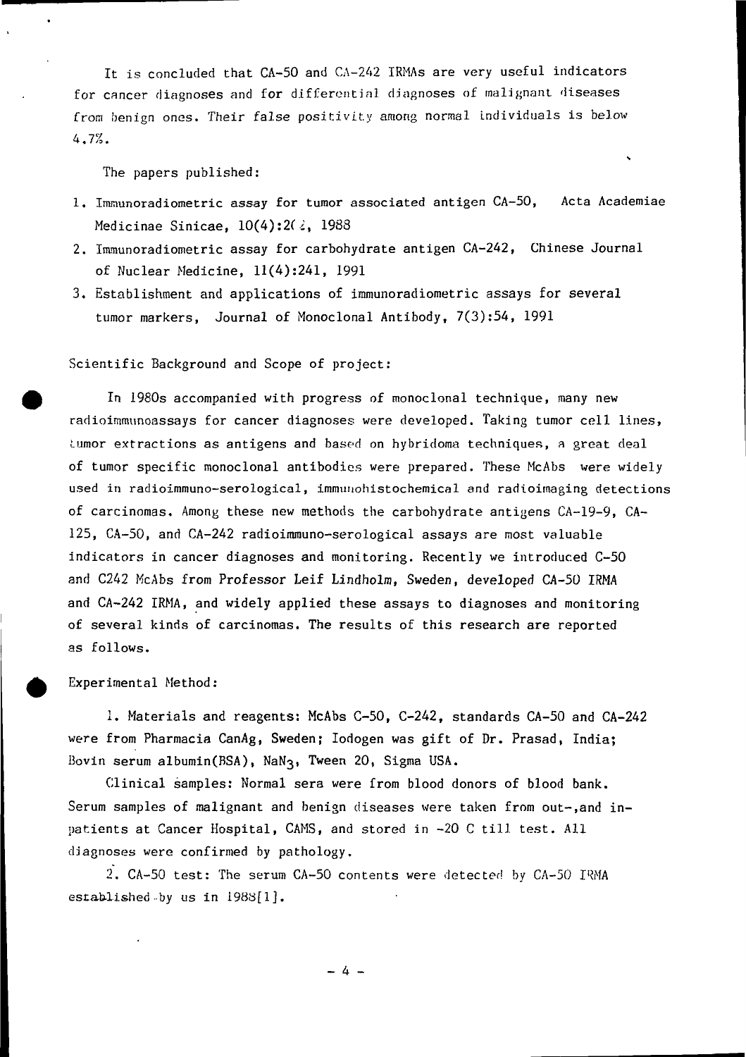It is concluded that CA-50 and CA-242 IRMAs are very useful indicators for cancer diagnoses and for differential diagnoses of malignant diseases from benign ones. Their false positivity among normal individuals is below 4.7%.

The papers published:

- 1. Immunoradiometric assay for tumor associated antigen CA-5O, Acta Academiae Medicinae Sinicae,  $10(4):2(2, 1988)$
- 2. Immunoradiometric assay for carbohydrate antigen CA-242, Chinese Journal of Nuclear Medicine, 11(4):241, 1991
- 3. Establishment and applications of immunoradiometric assays for several tumor markers, Journal of Monoclonal Antibody, 7(3):54, 1991

## Scientific Background and Scope of project:

In 1980s accompanied with progress of monoclonal technique, many new radioimmunoassays for cancer diagnoses were developed. Taking tumor cell lines, Lumor extractions as antigens and based on hybridoma techniques, a great deal of tumor specific monoclonal antibodies were prepared. These McAbs were widely used in radioimmuno-serological, immunohistochemical and radioimaging detections of carcinomas. Among these new methods the carbohydrate antigens CA-19-9, CA-125, CA-50, and CA-242 radioimmuno-serological assays are most valuable indicators in cancer diagnoses and monitoring. Recently we introduced C-50 and C242 McAbs from Professor Leif Lindholm, Sweden, developed CA-50 IRMA and CA-242 IRMA, and widely applied these assays to diagnoses and monitoring of several kinds of carcinomas. The results of this research are reported as follows.

Experimental Method:

1. Materials and reagents: McAbs C-50, C-242, standards CA-50 and CA-242 were from Pharmacia CanAg, Sweden; Iodogen was gift of Dr. Prasad, India; Bovin serum albumin(BSA), NaN3, Tween 20, Sigma USA.

Clinical samples: Normal sera were from blood donors of blood bank. Serum samples of malignant and benign diseases were taken from out-, and inpatients at Cancer Hospital, CAMS, and stored in -20 C till test. All diagnoses were confirmed by pathology.

2. CA-50 test: The serum CA-50 contents were detected by CA-50 IRMA established-by us in 1988[1].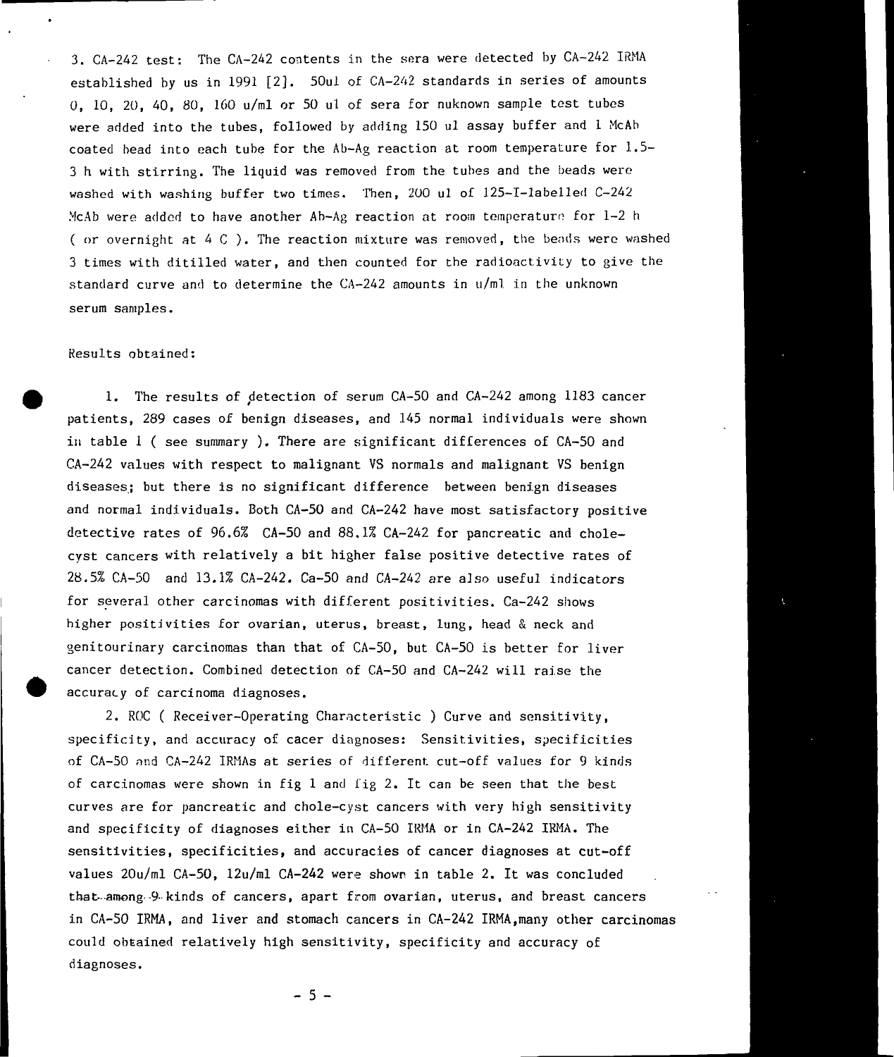3. CA-242 test: The CA-242 contents in the sera were detected by CA-242 IRMA established by us in 1991 [2]. 50ul of CA-242 standards in series of amounts 0, 10, 20, 40, 80, 160 u/ml or 50 ul of sera for nuknown sample test tubes were added into the tubes, followed by adding 150 ul assay buffer and 1 McAh coated bead into each tube for the Ab-Ag reaction at room temperature for 1.5- 3 h with stirring. The liquid was removed from the tubes and the beads were washed with washing buffer two times. Then, 200 ul of 125-I-labelled C-242 McAb were added to have another Ab-Ag reaction at room temperature for 1-2 h ( or overnight at  $4 \, \text{C}$  ). The reaction mixture was removed, the beads were washed 3 times with ditilled water, and then counted for the radioactivity to give the standard curve and to determine the CA-242 amounts in u/ml in the unknown serum samples.

## Results obtained:

1. The results of detection of serum CA-50 and CA-242 among 1183 cancer patients, 289 cases of benign diseases, and 145 normal individuals were shown in table 1 ( see summary ). There are significant differences of CA-50 and CA-242 values with respect to malignant VS normals and malignant VS benign diseases; but there is no significant difference between benign diseases and normal individuals. Both CA-50 and CA-242 have most satisfactory positive detective rates of 96.6% CA-50 and 88.1% CA-242 for pancreatic and cholecyst cancers with relatively a bit higher false positive detective rates of 28.5% CA-50 and 13.1% CA-242. Ca-50 and CA-242 are also useful indicators for several other carcinomas with different positivlties. Ca-242 shows higher positivities for ovarian, uterus, breast, lung, head & neck and genitourinary carcinomas than that of CA-50, but CA-50 is better for liver cancer detection. Combined detection of CA-50 and CA-242 will raise the accuracy of carcinoma diagnoses.

2. ROC ( Receiver-Operating Characteristic ) Curve and sensitivity, specificity, and accuracy of cacer diagnoses: Sensitivities, specificities of CA-50 nnd CA-242 IRMAs at series of different cut-off values for 9 kinds of carcinomas were shown in fig 1 and fig 2. It can be seen that the best curves are for pancreatic and chole-cyst cancers with very high sensitivity and specificity of diagnoses either in CA-50 IRMA or in CA-242 IRMA. The sensitivities, specificities, and accuracies of cancer diagnoses at cut-off values 20u/ml CA-50, 12u/ml CA-242 were shown in table 2. It was concluded that—among--9- kinds of cancers, apart from ovarian, uterus, and breast cancers in CA-50 IRMA, and liver and stomach cancers in CA-242 IRMA,many other carcinomas could obtained relatively high sensitivity, specificity and accuracy of diagnoses.

 $-5 -$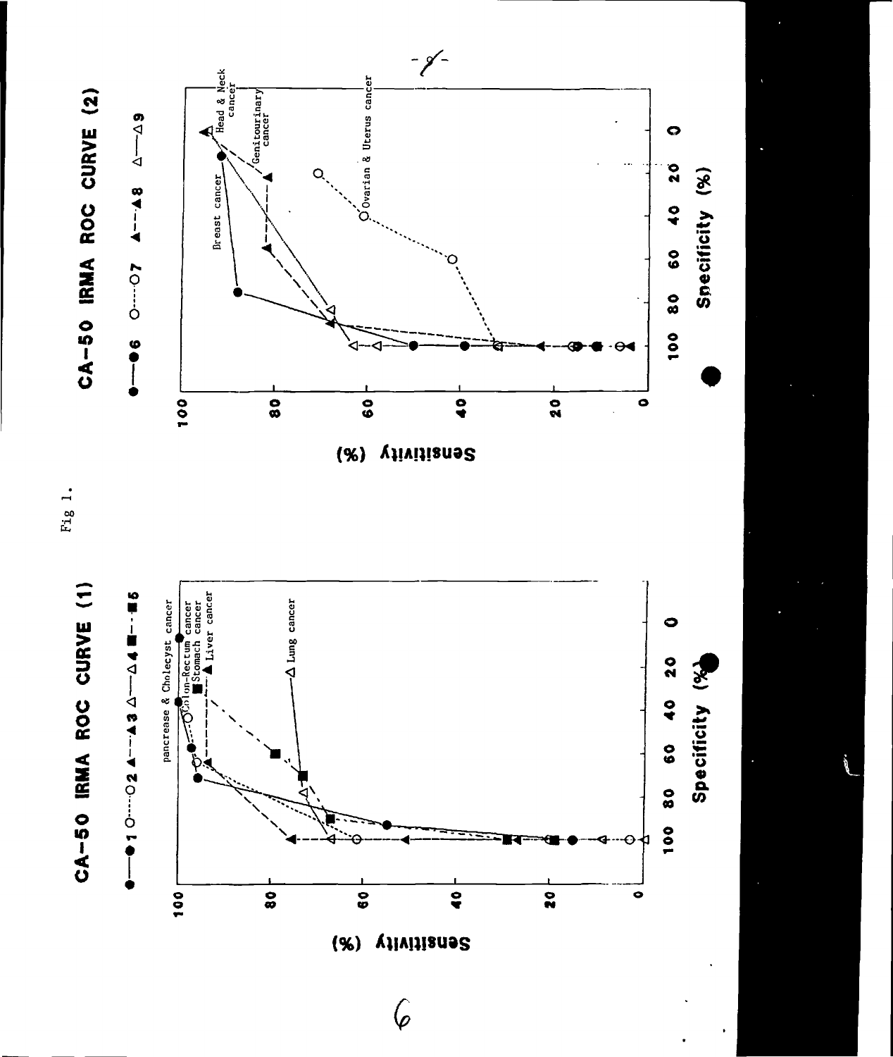

Fig 1.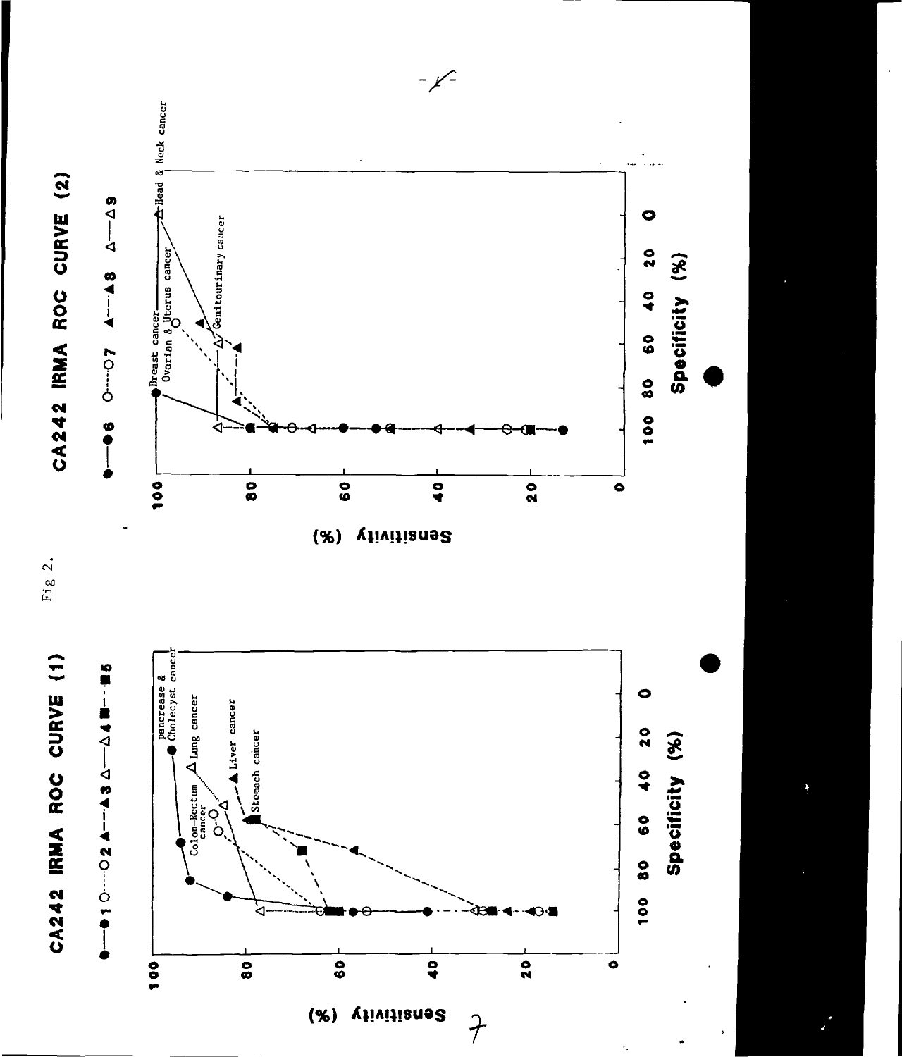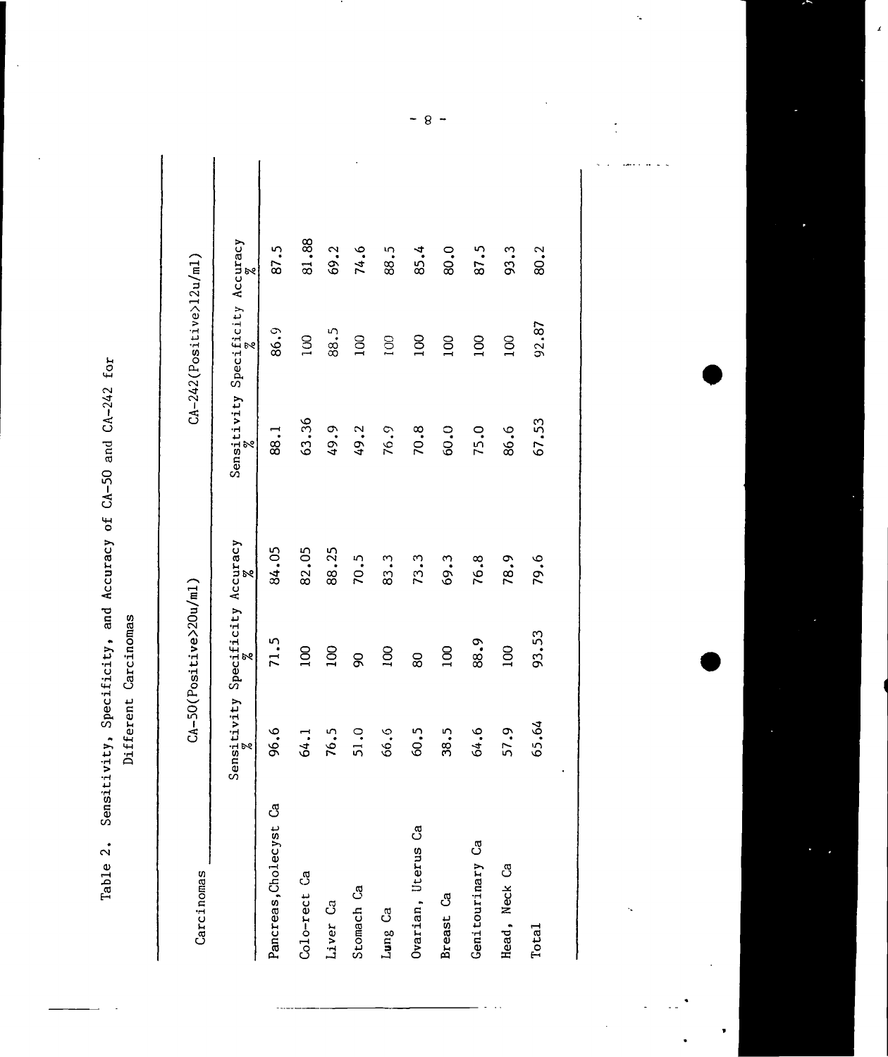| for                            |
|--------------------------------|
| $\sim 0.10$<br>コカーごう           |
| )<br>j<br>Ì                    |
| cs<br>cs<br>らこ                 |
| $\overline{\text{ot}}$         |
| and Accuracy                   |
|                                |
| $\frac{1}{2}$<br>$\frac{1}{2}$ |
| <b>ISILIVITY</b>               |
|                                |

 $\ddot{\phantom{1}}$ 

Different Carcinomas

| Carcinomas             |                                                       | $CA-50(Positive>20u/ml)$ |       |       | $CA-242(Positive>12u/ml)$               |       |
|------------------------|-------------------------------------------------------|--------------------------|-------|-------|-----------------------------------------|-------|
|                        | Sensitivity Specificity Accuracy $\frac{2}{\sqrt{5}}$ |                          |       | 9g    | Sensitivity Specificity Accuracy<br>þ٩, |       |
| Pancreas, Cholecyst Ca | 96.6                                                  | 71.5                     | 84.05 | 88.1  | 86.9                                    | 87.5  |
| Colo-rect Ca           | 64.1                                                  | 100                      | 82.05 | 63.36 | <b>DO1</b>                              | 81.88 |
| Liver Ca               | 76.5                                                  | 100                      | 88.25 | 49.9  | 88.5                                    | 69.2  |
| Stomach Ca             | 51.0                                                  | 8                        | 70.5  | 49.2  | 100                                     | 74.6  |
| Lung Ca                | 66.6                                                  | 100                      | 83.3  | 76.9  | 100                                     | 88.5  |
| Ovarian, Uterus Ca     | 60.5                                                  | 80                       | 73.3  | 70.8  | 100                                     | 85.4  |
| Breast Ca              | 38.5                                                  | 100                      | 69.3  | 60.0  | 100                                     | 80.0  |
| Genitourinary Ca       | 64.6                                                  | 88.9                     | 76.8  | 75.0  | $\overline{00}$                         | 87.5  |
| Head, Neck Ca          | 57.9                                                  | $\overline{5}$           | 78.9  | 86.6  | 100                                     | 93.3  |
| Total                  | 65.64                                                 | 93.53                    | 79.6  | 67.53 | 92.87                                   | 80.2  |
|                        |                                                       |                          |       |       |                                         |       |
|                        |                                                       |                          |       |       |                                         |       |

 $-8-$ 

l.

 $\ddotsc$ J.

Ñ.

ł